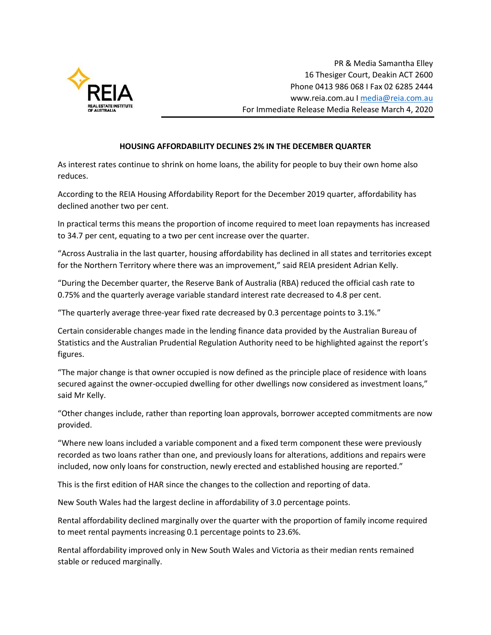

PR & Media Samantha Elley 16 Thesiger Court, Deakin ACT 2600 Phone 0413 986 068 I Fax 02 6285 2444 www.reia.com.au [I media@reia.com.au](mailto:media@reia.com.au) For Immediate Release Media Release March 4, 2020

#### **HOUSING AFFORDABILITY DECLINES 2% IN THE DECEMBER QUARTER**

As interest rates continue to shrink on home loans, the ability for people to buy their own home also reduces.

According to the REIA Housing Affordability Report for the December 2019 quarter, affordability has declined another two per cent.

In practical terms this means the proportion of income required to meet loan repayments has increased to 34.7 per cent, equating to a two per cent increase over the quarter.

"Across Australia in the last quarter, housing affordability has declined in all states and territories except for the Northern Territory where there was an improvement," said REIA president Adrian Kelly.

"During the December quarter, the Reserve Bank of Australia (RBA) reduced the official cash rate to 0.75% and the quarterly average variable standard interest rate decreased to 4.8 per cent.

"The quarterly average three-year fixed rate decreased by 0.3 percentage points to 3.1%."

Certain considerable changes made in the lending finance data provided by the Australian Bureau of Statistics and the Australian Prudential Regulation Authority need to be highlighted against the report's figures.

"The major change is that owner occupied is now defined as the principle place of residence with loans secured against the owner-occupied dwelling for other dwellings now considered as investment loans," said Mr Kelly.

"Other changes include, rather than reporting loan approvals, borrower accepted commitments are now provided.

"Where new loans included a variable component and a fixed term component these were previously recorded as two loans rather than one, and previously loans for alterations, additions and repairs were included, now only loans for construction, newly erected and established housing are reported."

This is the first edition of HAR since the changes to the collection and reporting of data.

New South Wales had the largest decline in affordability of 3.0 percentage points.

Rental affordability declined marginally over the quarter with the proportion of family income required to meet rental payments increasing 0.1 percentage points to 23.6%.

Rental affordability improved only in New South Wales and Victoria as their median rents remained stable or reduced marginally.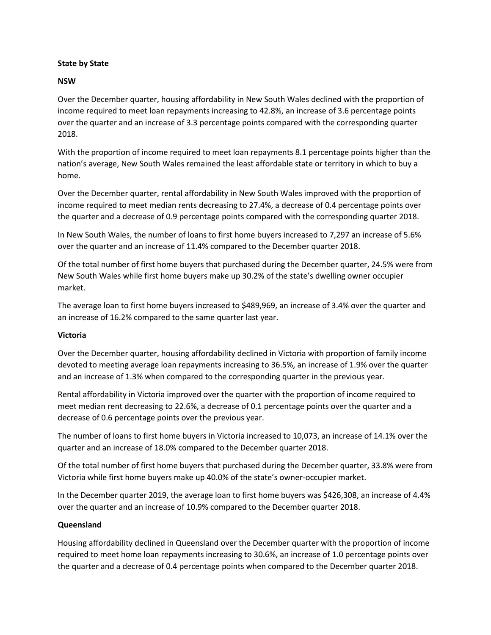## **State by State**

#### **NSW**

Over the December quarter, housing affordability in New South Wales declined with the proportion of income required to meet loan repayments increasing to 42.8%, an increase of 3.6 percentage points over the quarter and an increase of 3.3 percentage points compared with the corresponding quarter 2018.

With the proportion of income required to meet loan repayments 8.1 percentage points higher than the nation's average, New South Wales remained the least affordable state or territory in which to buy a home.

Over the December quarter, rental affordability in New South Wales improved with the proportion of income required to meet median rents decreasing to 27.4%, a decrease of 0.4 percentage points over the quarter and a decrease of 0.9 percentage points compared with the corresponding quarter 2018.

In New South Wales, the number of loans to first home buyers increased to 7,297 an increase of 5.6% over the quarter and an increase of 11.4% compared to the December quarter 2018.

Of the total number of first home buyers that purchased during the December quarter, 24.5% were from New South Wales while first home buyers make up 30.2% of the state's dwelling owner occupier market.

The average loan to first home buyers increased to \$489,969, an increase of 3.4% over the quarter and an increase of 16.2% compared to the same quarter last year.

## **Victoria**

Over the December quarter, housing affordability declined in Victoria with proportion of family income devoted to meeting average loan repayments increasing to 36.5%, an increase of 1.9% over the quarter and an increase of 1.3% when compared to the corresponding quarter in the previous year.

Rental affordability in Victoria improved over the quarter with the proportion of income required to meet median rent decreasing to 22.6%, a decrease of 0.1 percentage points over the quarter and a decrease of 0.6 percentage points over the previous year.

The number of loans to first home buyers in Victoria increased to 10,073, an increase of 14.1% over the quarter and an increase of 18.0% compared to the December quarter 2018.

Of the total number of first home buyers that purchased during the December quarter, 33.8% were from Victoria while first home buyers make up 40.0% of the state's owner-occupier market.

In the December quarter 2019, the average loan to first home buyers was \$426,308, an increase of 4.4% over the quarter and an increase of 10.9% compared to the December quarter 2018.

## **Queensland**

Housing affordability declined in Queensland over the December quarter with the proportion of income required to meet home loan repayments increasing to 30.6%, an increase of 1.0 percentage points over the quarter and a decrease of 0.4 percentage points when compared to the December quarter 2018.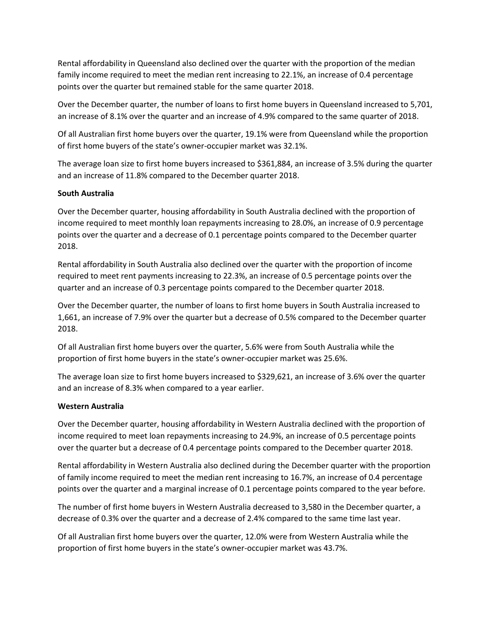Rental affordability in Queensland also declined over the quarter with the proportion of the median family income required to meet the median rent increasing to 22.1%, an increase of 0.4 percentage points over the quarter but remained stable for the same quarter 2018.

Over the December quarter, the number of loans to first home buyers in Queensland increased to 5,701, an increase of 8.1% over the quarter and an increase of 4.9% compared to the same quarter of 2018.

Of all Australian first home buyers over the quarter, 19.1% were from Queensland while the proportion of first home buyers of the state's owner-occupier market was 32.1%.

The average loan size to first home buyers increased to \$361,884, an increase of 3.5% during the quarter and an increase of 11.8% compared to the December quarter 2018.

## **South Australia**

Over the December quarter, housing affordability in South Australia declined with the proportion of income required to meet monthly loan repayments increasing to 28.0%, an increase of 0.9 percentage points over the quarter and a decrease of 0.1 percentage points compared to the December quarter 2018.

Rental affordability in South Australia also declined over the quarter with the proportion of income required to meet rent payments increasing to 22.3%, an increase of 0.5 percentage points over the quarter and an increase of 0.3 percentage points compared to the December quarter 2018.

Over the December quarter, the number of loans to first home buyers in South Australia increased to 1,661, an increase of 7.9% over the quarter but a decrease of 0.5% compared to the December quarter 2018.

Of all Australian first home buyers over the quarter, 5.6% were from South Australia while the proportion of first home buyers in the state's owner-occupier market was 25.6%.

The average loan size to first home buyers increased to \$329,621, an increase of 3.6% over the quarter and an increase of 8.3% when compared to a year earlier.

## **Western Australia**

Over the December quarter, housing affordability in Western Australia declined with the proportion of income required to meet loan repayments increasing to 24.9%, an increase of 0.5 percentage points over the quarter but a decrease of 0.4 percentage points compared to the December quarter 2018.

Rental affordability in Western Australia also declined during the December quarter with the proportion of family income required to meet the median rent increasing to 16.7%, an increase of 0.4 percentage points over the quarter and a marginal increase of 0.1 percentage points compared to the year before.

The number of first home buyers in Western Australia decreased to 3,580 in the December quarter, a decrease of 0.3% over the quarter and a decrease of 2.4% compared to the same time last year.

Of all Australian first home buyers over the quarter, 12.0% were from Western Australia while the proportion of first home buyers in the state's owner-occupier market was 43.7%.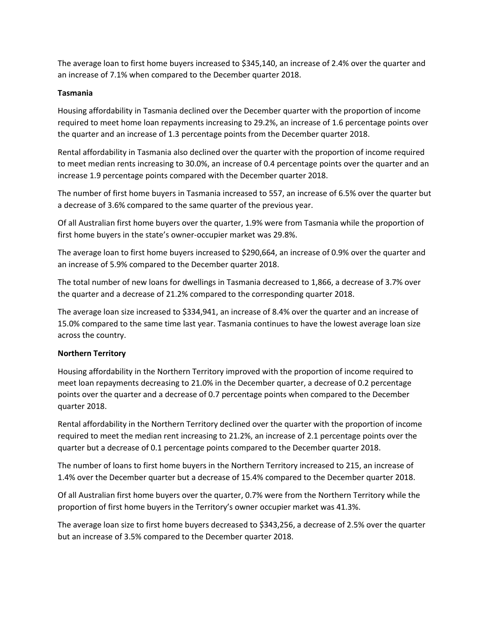The average loan to first home buyers increased to \$345,140, an increase of 2.4% over the quarter and an increase of 7.1% when compared to the December quarter 2018.

# **Tasmania**

Housing affordability in Tasmania declined over the December quarter with the proportion of income required to meet home loan repayments increasing to 29.2%, an increase of 1.6 percentage points over the quarter and an increase of 1.3 percentage points from the December quarter 2018.

Rental affordability in Tasmania also declined over the quarter with the proportion of income required to meet median rents increasing to 30.0%, an increase of 0.4 percentage points over the quarter and an increase 1.9 percentage points compared with the December quarter 2018.

The number of first home buyers in Tasmania increased to 557, an increase of 6.5% over the quarter but a decrease of 3.6% compared to the same quarter of the previous year.

Of all Australian first home buyers over the quarter, 1.9% were from Tasmania while the proportion of first home buyers in the state's owner-occupier market was 29.8%.

The average loan to first home buyers increased to \$290,664, an increase of 0.9% over the quarter and an increase of 5.9% compared to the December quarter 2018.

The total number of new loans for dwellings in Tasmania decreased to 1,866, a decrease of 3.7% over the quarter and a decrease of 21.2% compared to the corresponding quarter 2018.

The average loan size increased to \$334,941, an increase of 8.4% over the quarter and an increase of 15.0% compared to the same time last year. Tasmania continues to have the lowest average loan size across the country.

## **Northern Territory**

Housing affordability in the Northern Territory improved with the proportion of income required to meet loan repayments decreasing to 21.0% in the December quarter, a decrease of 0.2 percentage points over the quarter and a decrease of 0.7 percentage points when compared to the December quarter 2018.

Rental affordability in the Northern Territory declined over the quarter with the proportion of income required to meet the median rent increasing to 21.2%, an increase of 2.1 percentage points over the quarter but a decrease of 0.1 percentage points compared to the December quarter 2018.

The number of loans to first home buyers in the Northern Territory increased to 215, an increase of 1.4% over the December quarter but a decrease of 15.4% compared to the December quarter 2018.

Of all Australian first home buyers over the quarter, 0.7% were from the Northern Territory while the proportion of first home buyers in the Territory's owner occupier market was 41.3%.

The average loan size to first home buyers decreased to \$343,256, a decrease of 2.5% over the quarter but an increase of 3.5% compared to the December quarter 2018.